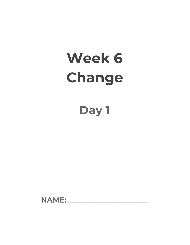# **Week 6 Change**

### **Day 1**

**NAME:\_\_\_\_\_\_\_\_\_\_\_\_\_\_\_\_\_\_\_\_\_\_**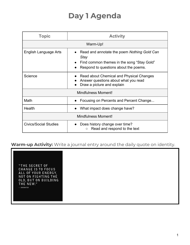### **Day 1 Agenda**

| <b>Topic</b>                 | <b>Activity</b>                                                                                                                            |  |
|------------------------------|--------------------------------------------------------------------------------------------------------------------------------------------|--|
|                              | Warm-Up!                                                                                                                                   |  |
| English Language Arts        | Read and annotate the poem Nothing Gold Can<br>Stay<br>Find common themes in the song "Stay Gold"<br>Respond to questions about the poems. |  |
| Science                      | Read about Chemical and Physical Changes<br>Answer questions about what you read<br>Draw a picture and explain                             |  |
| <b>Mindfulness Moment!</b>   |                                                                                                                                            |  |
| Math                         | Focusing on Percents and Percent Change                                                                                                    |  |
| Health                       | What impact does change have?                                                                                                              |  |
| <b>Mindfulness Moment!</b>   |                                                                                                                                            |  |
| <b>Civics/Social Studies</b> | Does history change over time?<br>Read and respond to the text<br>$\circ$                                                                  |  |

#### **Warm-up Activity:** Write a journal entry around the daily quote on identity.

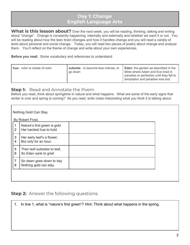#### **Day 1: Change English Language Arts**

**What is this lesson about?** Over the next week, you will be reading, thinking, talking and writing about "change". Change is constantly happening, internally and externally and whether we want it or not. You will be reading about how the teen brain changes and how it handles change and you will read a variety of texts about personal and social change. Today, you will read two pieces of poetry about change and analyze them. You'll reflect on the theme of change and write about your own experiences.

**Before you read:** Some vocabulary and references to understand:

| hue: color or shade of color | subside: to become less intense, to<br>go down | <b>Eden:</b> the garden as described in the<br>Bible where Adam and Eve lived in<br>paradise or perfection until they fell to<br>temptation and paradise was lost. |
|------------------------------|------------------------------------------------|--------------------------------------------------------------------------------------------------------------------------------------------------------------------|
|------------------------------|------------------------------------------------|--------------------------------------------------------------------------------------------------------------------------------------------------------------------|

#### **Step 1:** Read and Annotate the Poem

Before you read, think about springtime in nature and what happens. What are some of the early signs that winter is over and spring is coming? As you read, write notes interpreting what you think it is talking about.

|        | Nothing Gold Can Stay                                   |  |
|--------|---------------------------------------------------------|--|
|        | By Robert Frost.                                        |  |
| 1<br>2 | Nature's first green is gold<br>Her hardest hue to hold |  |
| 3<br>4 | Her early leaf's a flower;<br>But only for an hour.     |  |
| 5<br>6 | Then leaf subsides to leaf,<br>So Eden sank to grief.   |  |
| 7<br>8 | So dawn goes down to day<br>Nothing gold can stay.      |  |

**Step 2:** Answer the following questions.

1. In line 1, what is "nature's first green"? Hint: Think about what happens in the spring.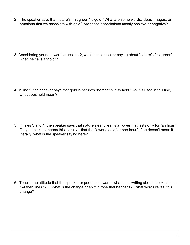2. The speaker says that nature's first green "is gold." What are some words, ideas, images, or emotions that we associate with gold? Are these associations mostly positive or negative?

3. Considering your answer to question 2, what is the speaker saying about "nature's first green" when he calls it "gold"?

4. In line 2, the speaker says that gold is nature's "hardest hue to hold." As it is used in this line, what does hold mean?

5. In lines 3 and 4, the speaker says that nature's early leaf is a flower that lasts only for "an hour." Do you think he means this literally—that the flower dies after one hour? If he doesn't mean it literally, what is the speaker saying here?

6. Tone is the attitude that the speaker or poet has towards what he is writing about. Look at lines 1-4 then lines 5-6. What is the change or shift in tone that happens? What words reveal this change?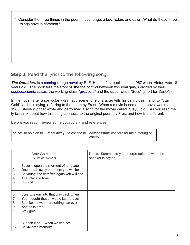| 7. Consider the three things in the poem that change: a bud, Eden, and dawn. What do these three |  |
|--------------------------------------------------------------------------------------------------|--|
| things have in common?                                                                           |  |

#### **Step 3:** Read the lyrics to the following song.

**The Outsiders** is a [coming-of-age novel](https://en.wikipedia.org/wiki/Bildungsroman) by [S. E. Hinton](https://en.wikipedia.org/wiki/S._E._Hinton), first published in [1967](https://en.wikipedia.org/wiki/1967_in_literature) when<sup>1</sup> Hinton was 18 years old. The book tells the story of the the conflict between two rival gangs divided by their [socioeconomic status:](https://en.wikipedia.org/wiki/Socioeconomic_status) the working-class "[greasers](https://en.wikipedia.org/wiki/Greaser_(subculture))" and the upper-class "Socs" (short for *Socials*).

In the novel, after a particularly dramatic scene, one character tells his very close friend to "Stay Gold" as he is dying, referring to the poem by Frost. When a movie based on the novel was made in 1983, Stevie Wonder wrote and performed a song for the movie called "Stay Gold". As you read the lyrics think about how this song connects to the original poem by Frost and how it is different.

Before you read: review some vocabulary and references:

| seize: to hold on to $\vert$ steal away: to escape to $\vert$ compassion: concern for the suffering of | others. |
|--------------------------------------------------------------------------------------------------------|---------|
|--------------------------------------------------------------------------------------------------------|---------|

|                   | <b>Stay Gold</b><br>By Stevie Wonder                                                                                                                     | Notes: Summarize your interpretation of what the<br>speaker is saying. |
|-------------------|----------------------------------------------------------------------------------------------------------------------------------------------------------|------------------------------------------------------------------------|
| 2<br>3<br>4<br>5  | Seize  upon the moment of long ago<br>One breath away and there you will be<br>So young and carefree again you will see<br>That place in time<br>So gold |                                                                        |
| 6<br>8<br>9<br>10 | Steal  away into that way back when<br>You thought that all would last forever<br>But like the weather nothing can ever<br>And be in time<br>Stay gold   |                                                                        |
| 11<br>12          | But can it be  when we can see<br>So vividly a memory                                                                                                    |                                                                        |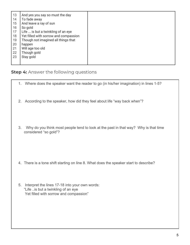| 13 | And yes you say so must the day       |
|----|---------------------------------------|
| 14 | To fade away                          |
| 15 | And leave a ray of sun                |
| 16 | So gold                               |
| 17 | Life  is but a twinkling of an eye    |
| 18 | Yet filled with sorrow and compassion |
| 19 | Though not imagined all things that   |
| 20 | happen                                |
| 21 | Will age too old                      |
| 22 | Though gold                           |
| 23 | Stay gold                             |
|    |                                       |
|    |                                       |

**Step 4:** Answer the following questions

- 1. Where does the speaker want the reader to go (in his/her imagination) in lines 1-5?
- 2. According to the speaker, how did they feel about life "way back when"?
- 3. Why do you think most people tend to look at the past in that way? Why is that time considered "so gold"?

- 4. There is a tone shift starting on line 8. What does the speaker start to describe?
- 5. Interpret the lines 17-18 into your own words: "Life ..is but a twinkling of an eye Yet filled with sorrow and compassion"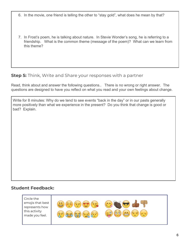- 6. In the movie, one friend is telling the other to "stay gold", what does he mean by that?
- 7. In Frost's poem, he is talking about nature. In Stevie Wonder's song, he is referring to a friendship. What is the common theme (message of the poem)? What can we learn from this theme?

#### **Step 5:** Think, Write and Share your responses with a partner

Read, think about and answer the following questions.. There is no wrong or right answer. The questions are designed to have you reflect on what you read and your own feelings about change.

Write for 8 minutes: Why do we tend to see events "back in the day" or in our pasts generally more positively than what we experience in the present? Do you think that change is good or bad? Explain.

#### **Student Feedback:**

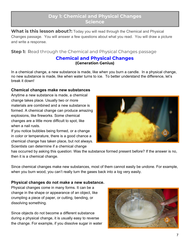#### **Day 1: Chemical and Physical Changes Science**

**What is this lesson about?:** Today you will read through the Chemical and Physical Changes passage. You will answer a few questions about what you read. You will draw a picture and write a response.

**Step 1:** Read through the Chemical and Physical Changes passage

#### **Chemical and Physical Changes (Generation Genius)**

In a chemical change, a new substance is made, like when you burn a candle. In a physical change, no new substance is made, like when water turns to ice. To better understand the difference, let's break it down!

#### **Chemical changes make new substances**

Anytime a new substance is made, a chemical change takes place. Usually two or more materials are combined and a new substance is formed. A chemical change can produce amazing explosions, like fireworks. Some chemical changes are a little more difficult to spot, like when a nail rusts.

If you notice bubbles being formed, or a change in color or temperature, there is a good chance a chemical change has taken place, but not always. Scientists can determine if a chemical change



has occurred by asking this question: Was the substance formed present before? If the answer is no, then it is a chemical change.

Since chemical changes make new substances, most of them cannot easily be undone. For example, when you burn wood, you can't really turn the gases back into a log very easily.

#### **Physical changes do not make a new substance.**

Physical changes come in many forms. It can be a change in the shape or appearance of an object, like crumpling a piece of paper, or cutting, bending, or dissolving something.

Since objects do not become a different substance during a physical change, it is usually easy to reverse the change. For example, if you dissolve sugar in water

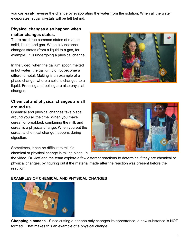you can easily reverse the change by evaporating the water from the solution. When all the water evaporates, sugar crystals will be left behind.

#### **Physical changes also happen when matter changes states.**

There are three common states of matter: solid, liquid, and gas. When a substance changes states (from a liquid to a gas, for example), it is undergoing a physical change.

In the video, when the gallium spoon melted in hot water, the gallium did not become a different metal. Melting is an example of a phase change, where a solid is changed to a liquid. Freezing and boiling are also physical changes.

#### **Chemical and physical changes are all around us.**

Chemical and physical changes take place around you all the time. When you make cereal for breakfast, combining the milk and cereal is a physical change. When you eat the cereal, a chemical change happens during digestion.

Sometimes, it can be difficult to tell if a chemical or physical change is taking place. In

the video, Dr. Jeff and the team explore a few different reactions to determine if they are chemical or physical changes, by figuring out if the material made after the reaction was present before the reaction.

#### **EXAMPLES OF CHEMICAL AND PHYSICAL CHANGES**



**Chopping a banana** - Since cutting a banana only changes its appearance, a new substance is NOT formed. That makes this an example of a physical change.



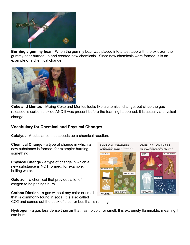

**Burning a gummy bear** - When the gummy bear was placed into a test tube with the oxidizer, the gummy bear burned up and created new chemicals. Since new chemicals were formed, it is an example of a chemical change.



**Coke and Mentos** - Mixing Coke and Mentos looks like a chemical change, but since the gas released is carbon dioxide AND it was present before the foaming happened, it is actually a physical change.

#### **Vocabulary for Chemical and Physical Changes**

**Catalyst** - A substance that speeds up a chemical reaction.

**Chemical Change** - a type of change in which a new substance is formed; for example: burning something.

**Physical Change** - a type of change in which a new substance is NOT formed; for example: boiling water.

**Oxidizer** - a chemical that provides a lot of oxygen to help things burn.

**Carbon Dioxide** - a gas without any color or smell that is commonly found in soda. It is also called





**Hydrogen** - a gas less dense than air that has no color or smell. It is extremely flammable, meaning it can burn.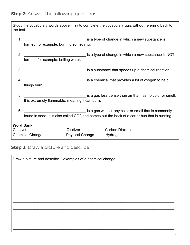| the text. |                                         |                                                 | Study the vocabulary words above. Try to complete the vocabulary quiz without referring back to                                                                                    |
|-----------|-----------------------------------------|-------------------------------------------------|------------------------------------------------------------------------------------------------------------------------------------------------------------------------------------|
| 1.        | formed; for example: burning something. |                                                 | is a type of change in which a new substance is a type of change in which a new substance is                                                                                       |
|           | formed; for example: boiling water.     |                                                 |                                                                                                                                                                                    |
|           |                                         |                                                 | 3. Note as a substance that speeds up a chemical reaction.                                                                                                                         |
| 4.        | things burn.                            |                                                 | is a chemical that provides a lot of oxygen to help                                                                                                                                |
| 5.        |                                         | It is extremely flammable, meaning it can burn. | is a gas less dense than air that has no color or smell.                                                                                                                           |
|           |                                         |                                                 | 6. COMPONED STATES And STATES IS a gas without any color or smell that is commonly<br>found in soda. It is also called CO2 and comes out the back of a car or bus that is running. |
|           | <b>Word Bank</b>                        | Oxidizer                                        | <b>Carbon Dioxide</b>                                                                                                                                                              |
| Catalyst  | <b>Chemical Change</b>                  | <b>Physical Change</b>                          | Hydrogen                                                                                                                                                                           |
|           |                                         |                                                 |                                                                                                                                                                                    |

#### **Step 3:** Draw a picture and describe

| Draw a picture and describe 2 examples of a chemical change. |  |  |
|--------------------------------------------------------------|--|--|
|                                                              |  |  |
|                                                              |  |  |
|                                                              |  |  |
|                                                              |  |  |
|                                                              |  |  |
|                                                              |  |  |
|                                                              |  |  |
|                                                              |  |  |
|                                                              |  |  |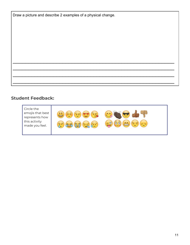| Draw a picture and describe 2 examples of a physical change. |  |  |
|--------------------------------------------------------------|--|--|
|--------------------------------------------------------------|--|--|

#### **Student Feedback:**



 $\mathcal{L}_\text{max}$  and  $\mathcal{L}_\text{max}$  and  $\mathcal{L}_\text{max}$  and  $\mathcal{L}_\text{max}$  and  $\mathcal{L}_\text{max}$  and  $\mathcal{L}_\text{max}$ 

 $\mathcal{L}_\text{max}$  and  $\mathcal{L}_\text{max}$  and  $\mathcal{L}_\text{max}$  and  $\mathcal{L}_\text{max}$  and  $\mathcal{L}_\text{max}$  and  $\mathcal{L}_\text{max}$ 

 $\mathcal{L}_\text{max}$  and  $\mathcal{L}_\text{max}$  and  $\mathcal{L}_\text{max}$  and  $\mathcal{L}_\text{max}$  and  $\mathcal{L}_\text{max}$  and  $\mathcal{L}_\text{max}$ 

 $\mathcal{L}_\text{max}$  and  $\mathcal{L}_\text{max}$  and  $\mathcal{L}_\text{max}$  and  $\mathcal{L}_\text{max}$  and  $\mathcal{L}_\text{max}$  and  $\mathcal{L}_\text{max}$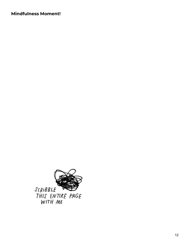**Mindfulness Moment!**

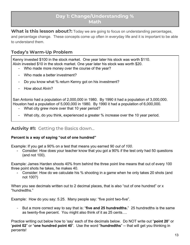#### **Day 1: Change/Understanding % Math**

**What is this lesson about?:** Today we are going to focus on understanding percentages,

and percentage change. These concepts come up often in everyday life and it is important to be able to understand them.

#### **Today's Warm-Up Problem**

Kenny invested \$100 in the stock market. One year later his stock was worth \$110. Alvin invested \$10 in the stock market. One year later his stock was worth \$20.

- Who made more money over the course of the year?
- Who made a better investment?
- Do you know what % return Kenny got on his investment?
- How about Alvin?

San Antonio had a population of 2,000,000 in 1980. By 1990 it had a population of 3,000,000. Houston had a population of 5,000,000 in 1980. By 1990 it had a population of 6,000,000.

- What city grew more over that 10 year period?
- What city, do you think, experienced a greater % increase over the 10 year period.

#### **Activity #1:** Getting the Basics down…

#### **Percent is a way of saying "out of one hundred"**

Example: If you get a 90% on a test that means you earned 90 *out of 100*.

- Consider: How does your teacher know that you got a 90% if the test only had 50 questions (and not 100).

Example: James Harden shoots 40% from behind the three point line means that out of every 100 three point shots he takes, he makes 40.

- Consider: How do we calculate his % shooting in a game when he only takes 20 shots (and not 100?)

When you see decimals written out to 2 decimal places, that is also "out of one hundred" or x "hundredths."

Example: How do you say: 5.25. Many people say: "five point two-five".

- But a more correct way to say that is: "**five and 25 hundredths.**" 25 hundredths is the same as twenty-five percent. You might also think of it as 25 cents….

Practice writing out below how to 'say' each of the decimals below. Do NOT write out "**point 20**" or '**point 02**" or "**one hundred point 40**". Use the word "**hundredths**" -- that will get you thinking in percents!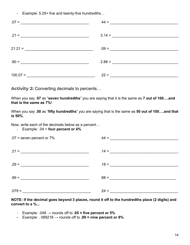- Example: 5.25= five and twenty-five hundredths…

|         | $.44 = \qquad \qquad \qquad \qquad \qquad \qquad \qquad \qquad$ |
|---------|-----------------------------------------------------------------|
| $.21 =$ | $3.14 =$                                                        |
|         |                                                                 |
| $.80 =$ |                                                                 |
|         | $.22 =$                                                         |

**Activity 2:** Converting decimals to percents…

When you say .**07** as "**seven hundredths**" you are saying that it is the same as **7 out of 100….and that is the same as 7%**!

When you say **.50** as "**fifty hundredths**" you are saying that is the same as **50 out of 100….and that is 50%**.

Now, write each of the decimals below as a percent…

- Example: .04 = **four percent or 4%**

| $.07$ = seven percent or 7% | $.44 = \qquad \qquad \qquad \overbrace{\qquad \qquad }$                                                                                                                                                                                                                                                                                                                       |
|-----------------------------|-------------------------------------------------------------------------------------------------------------------------------------------------------------------------------------------------------------------------------------------------------------------------------------------------------------------------------------------------------------------------------|
|                             |                                                                                                                                                                                                                                                                                                                                                                               |
|                             |                                                                                                                                                                                                                                                                                                                                                                               |
| $.89 =$                     | $.88 = \begin{array}{cccccccccc} \textbf{0.88} & \textbf{0.88} & \textbf{0.88} & \textbf{0.88} & \textbf{0.88} & \textbf{0.88} & \textbf{0.88} & \textbf{0.88} & \textbf{0.88} & \textbf{0.88} & \textbf{0.88} & \textbf{0.88} & \textbf{0.88} & \textbf{0.88} & \textbf{0.88} & \textbf{0.88} & \textbf{0.88} & \textbf{0.88} & \textbf{0.88} & \textbf{0.88} & \textbf{0.8$ |
|                             |                                                                                                                                                                                                                                                                                                                                                                               |

**NOTE: If the decimal goes beyond 3 places, round it off to the hundredths place (2 digits) and convert to a %...**

- Example:  $.048 \rightarrow$  rounds off to  $.05 =$  five percent or  $5\%$
- **-** Example: . 089218 → rounds off to **.09 = nine percent or 9%**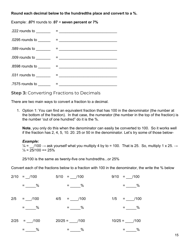#### **Round each decimal below to the hundredths place and convert to a %.**

Example: **.071** rounds to .**07** = **seven percent or 7%**

| .222 rounds to $\frac{\ }{2}$ = | <u>i ali sebagai kecamatan ing kabupatèn Suma</u> |
|---------------------------------|---------------------------------------------------|
|                                 |                                                   |
|                                 |                                                   |
|                                 |                                                   |
|                                 |                                                   |
|                                 |                                                   |
|                                 |                                                   |

**Step 3:** Converting Fractions to Decimals

There are two main ways to convert a fraction to a decimal.

1. Option 1: You can find an equivalent fraction that has 100 in the denominator (the number at the bottom of the fraction). In that case, the numerator (the number in the top of the fraction) is the number 'out of one hundred" do it is the %.

**Note**, you only do this when the denominator can easily be converted to 100. So it works well if the fraction has 2, 4, 5, 10. 20. 25 or 50 in the denominator. Let's try some of those below-

#### *Example:*

 $\frac{1}{4}$  = /100  $\rightarrow$  ask yourself what you multiply 4 by to = 100. That is 25. So, multiply 1 x 25.  $\rightarrow$  $\frac{1}{4}$  = 25/100 == 25%

25/100 is the same as twenty-five one hundredths...or 25%

Convert each of the fractions below to a fraction with 100 in the denominator, the write the % below

| $2/10 = /100$     | $5/10 = 7100$     | $9/10 = 7100$                          |
|-------------------|-------------------|----------------------------------------|
|                   | $=$ $\frac{9}{6}$ | $=$ %                                  |
| $2/5 = 7100$      | $4/5 =$ /100      | $1/5 = 7100$                           |
| $=$ $\frac{9}{6}$ | $=$ %             | $=$ %                                  |
| $2/25 = 7100$     | $20/25 =$ /100    | $10/25 = 7100$                         |
| $=$ ______%       | $=$ ________%     | $\%$<br><b>Contract Contract State</b> |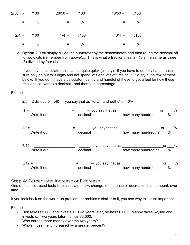|              | $40/50 = 7100$ |              | $20/50 = 7100$ |              | $2/50 = 7100$ |
|--------------|----------------|--------------|----------------|--------------|---------------|
| $\%$         |                | $=$ %        |                | $=$ %        |               |
| $3/4 = 7100$ |                | $1/4 = 7100$ |                | $2/4 = 7100$ |               |
| $\%$         |                | %            |                | $\%$         |               |

2. **Option 2**: You simply divide the numerator by the denominator, and then round the decimal off to two digits (remember from above).... This is what a fraction means: ¾ is the same as three (3) divided by four (4).

If you have a calculator, this can be quite quick (clearly). If you have to do it by hand, make sure only go out to 3 digits and not spend lots and lots of time on it. So, try out a few of these below. If you don't have a calculator, just try and handful of these to get a feel for how these fractions convert to a decimal...and then to a percentage.

Example:



**Step 4:** Percentage Increase or Decrease

One of the most-used tools is to calculate the % change, or increase or decrease, in an amount, over time.

If you look back on the warm-up problem, or problems similar to it, you see why this is so important.

Example:

- Don takes \$5,000 and invests it. Two years later, he has \$6,000. Manny takes \$2,000 and invests it. Two years later, he has \$3,000.
- Who earned more money over the two years?
- Who's investment increased by a greater percent?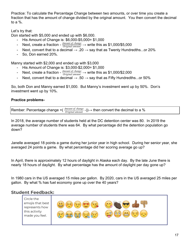Practice: To calculate the Percentage Change between two amounts, or over time you create a fraction that has the amount of change divided by the original amount. You then convert the decimal to a %.

#### Let's try that:

Don started with \$5,000 and ended up with \$6,000.

- His Amount of Change is: \$6,000-\$5,000= \$1,000
- Next, create a fraction  $\frac{Amount~of~change}{Original~amount}$  → write this as \$1,000/\$5,000
- Next, convert that to a decimal  $\rightarrow$  .20  $\rightarrow$  say that as Twenty Hundredths...or 20%
- So, Don earned 20%.

Manny started with \$2,000 and ended up with \$3,000

- His Amount of Change is: \$3,000-\$2,000= \$1,000
- Next, create a fraction  $\frac{Amount~of~change}{Original~amount}$  → write this as \$1,000/\$2,000
- Next, convert that to a decimal  $\rightarrow .50 \rightarrow$  say that as Fifty Hundredths...or 50%

So, both Don and Manny earned \$1,000. But Manny's investment went up by 50%. Don's investment went up by 10%.

#### **Practice problems-**

Rember: Percentage change =( $\frac{Amount of change}{Original amount}$ ))→ then convert the decimal to a %

In 2018, the average number of students held at the DC detention center was 80. In 2019 the average number of students there was 64. By what percentage did the detention population go down?

Janelle averaged 18 points a game during her junior year in high school. During her senior year, she averaged 24 points a game. By what percentage did her scoring average go up?

In April, there is approximately 12 hours of daylight in Alaska each day. By the late June there is nearly 18 hours of daylight. By what percentage has the amount of daylight per day gone up?

In 1980 cars in the US averaged 15 miles per gallon. By 2020, cars in the US averaged 25 miles per gallon. By what % has fuel economy gone up over the 40 years?

#### **Student Feedback:**

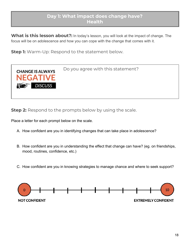#### **Day 1: What impact does change have? Health**

**What is this lesson about?:** In today's lesson, you will look at the impact of change. The focus will be on adolescence and how you can cope with the change that comes with it.

**Step 1:** Warm-Up: Respond to the statement below.



**Step 2:** Respond to the prompts below by using the scale.

Place a letter for each prompt below on the scale.

- A. How confident are you in identifying changes that can take place in adolescence?
- B. How confident are you in understanding the effect that change can have? (eg. on friendships, mood, routines, confidence, etc.)
- C. How confident are you in knowing strategies to manage chance and where to seek support?

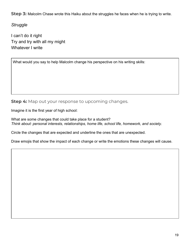**Step 3:** Malcolm Chase wrote this Haiku about the struggles he faces when he is trying to write.

*Struggle*

I can't do it right Try and try with all my might Whatever I write

What would you say to help Malcolm change his perspective on his writing skills:

**Step 4:** Map out your response to upcoming changes.

Imagine it is the first year of high school:

What are some changes that could take place for a student? *Think about: personal interests, relationships, home life, school life, homework, and society.*

Circle the changes that are expected and underline the ones that are unexpected.

Draw emojis that show the impact of each change or write the emotions these changes will cause.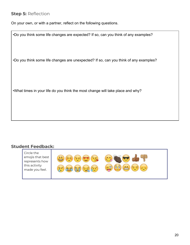#### **Step 5:** Reflection

On your own, or with a partner, reflect on the following questions.

•Do you think some life changes are expected? If so, can you think of any examples?

•Do you think some life changes are unexpected? If so, can you think of any examples?

•What times in your life do you think the most change will take place and why?

#### **Student Feedback:**

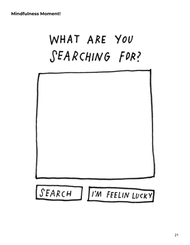## WHAT ARE YOU SEARCHING FOR?

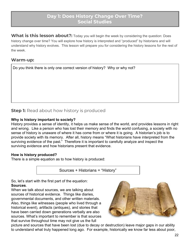#### **Day 1: Does History Change Over Time? Social Studies**

**What is this lesson about?:** Today you will begin the week by considering the question: Does history change over time? You will explore how history is interpreted and "produced" by historians and will understand why history evolves. This lesson will prepare you for considering the history lessons for the rest of the week.

#### **Warm-up:**

Do you think there is only one correct version of history? Why or why not?

#### **Step 1:** Read about how history is produced

#### **Why is history important to society?**

History provides a sense of identity, it helps us make sense of the world, and provides lessons in right and wrong. Like a person who has lost their memory and finds the world confusing, a society with no sense of history is unaware of where it has come from or where it is going. A historian's job is to provide society with its memory. After all, history means "What historians have interpreted from the surviving evidence of the past." Therefore it is important to carefully analyze and inspect the surviving evidence and how historians present that evidence.

#### **How is history produced?**

There is a simple equation as to how history is produced:

Sources + Historians = "History"

So, let's start with the first part of the equation: **Sources**.

When we talk about sources, we are talking about sources of historical evidence. Things like diaries, governmental documents, and other written materials. Also, things like witnesses (people who lived through a historical event), artifacts (antiques), and stories that have been carried down generations verbally are also sources. What's important to remember is that sources that survive throughout time may not give us the full



picture and sources that have been lost (due to decay or destruction) leave major gaps in our ability to understand what truly happened long ago. For example, historically we know far less about poor,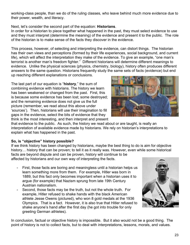working-class people, than we do of the ruling classes, who leave behind much more evidence due to their power, wealth, and literacy.

Next, let's consider the second part of the equation: **Historians**.

In order for a historian to piece together what happened in the past, they must select evidence to use and they must interpret (determine the meaning) of the evidence and present it to the public. The role of the historian is to make sense of the facts they discover in the evidence.

This process, however, of selecting and interpreting the evidence, can distort things. The historian has their own views and perceptions (formed by their life experiences, social background, and current life), which will affect the interpretation they make of the evidence. To give an example, "one man's terrorist is another man's freedom fighter." Different historians will determine different meanings to evidence. Unlike the physical sciences (physics, chemistry, biology), history often produces different answers to the same question. Historians frequently study the same sets of facts (evidence) but end up reaching different explanations or conclusions.

The last part of our equation is "**history**," the sum of combining evidence with historians. The history we learn has been weakened or changed from the past. First, this is because some evidence has been lost; some destroyed; and the remaining evidence does not give us the full picture (remember, we read about this above under 'sources'). Then, historians will use their imagination to fill gaps in the evidence, select the bits of evidence that they think is the most interesting, and then interpret and present



#### **So, is "objective" history possible?**

If we think history has been changed by historians, maybe the best thing to do is aim for objective history... history that can be proven; to tell it as it really was. However, even while some historical facts are beyond dispute and can be proven, history will continue to be affected by historians and our own way of interpreting the facts.

- First, those facts are boring and meaningless until a historian helps us learn something more from them. For example, Hitler was born in 1889, but this fact only becomes important when a historian uses it to argue (for example) that Nazism sprung from late 19th Century Austrian nationalism.
- Second, those facts may be the truth, but not the whole truth. For example, Hitler refused to shake hands with the black American athlete Jesse Owens (pictured), who won 8 gold medals at the 1936 Olympics. That is a fact. However, it is also true that Hitler refused to shake anyone's hand after the first day (he got into trouble for only greeting German athletes).

In conclusion, factual or objective history is impossible. But it also would not be a good thing. The point of history is not to collect facts, but to deal with interpretations, lessons, morals, and values.



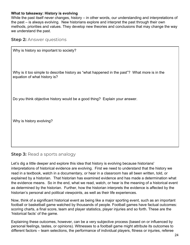#### **What to takeaway: History is evolving**

While the past itself never changes, history – in other words, our understanding and interpretations of the past – is always evolving. New historians explore and interpret the past through their own methods, priorities and values. They develop new theories and conclusions that may change the way we understand the past.

**Step 2:** Answer questions

| Why is history so important to society?                                                                                      |
|------------------------------------------------------------------------------------------------------------------------------|
| Why is it too simple to describe history as "what happened in the past"? What more is in the<br>equation of what history is? |
| Do you think objective history would be a good thing? Explain your answer.                                                   |
| Why is history evolving?                                                                                                     |

#### **Step 3:** Read a sports analogy

Let's dig a little deeper and explore this idea that history is evolving because historians' interpretations of historical evidence are evolving. First we need to understand that the history we read in a textbook, watch in a documentary, or hear in a classroom has all been written, told, or explained by a historian. That historian has examined evidence and has made a determination what the evidence means. So in the end, what we read, watch, or hear is the meaning of a historical event as determined by the historian. Further, how the historian interprets the evidence is affected by the historian's personal and political viewpoints, as well as their life experiences.

Now, think of a significant historical event as being like a major sporting event, such as an important football or basketball game watched by thousands of people. Football games have factual outcomes: scoring charts, a final score, team and player statistics, player injuries and so forth. These are the 'historical facts' of the game.

Explaining these outcomes, however, can be a very subjective process (based on or influenced by personal feelings, tastes, or opinions). Witnesses to a football game might attribute its outcomes to different factors – team selections, the performance of individual players, fitness or injuries, referee